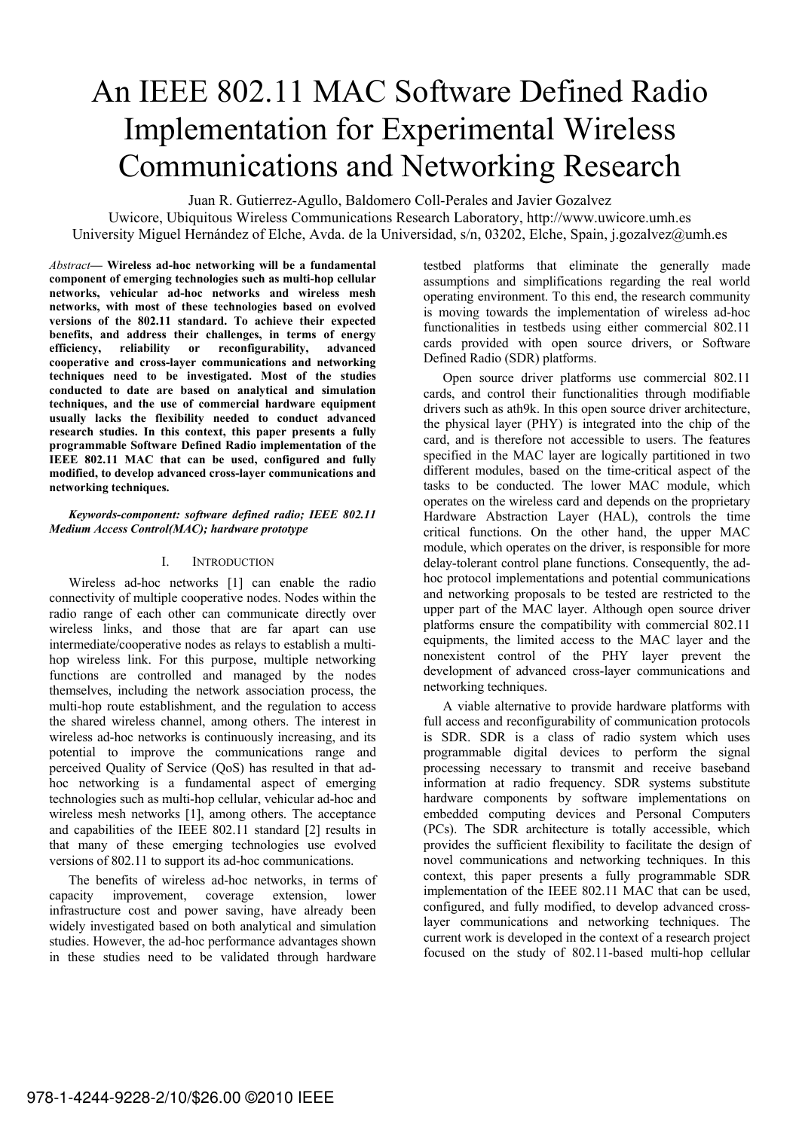# An IEEE 802.11 MAC Software Defined Radio Implementation for Experimental Wireless Communications and Networking Research

Juan R. Gutierrez-Agullo, Baldomero Coll-Perales and Javier Gozalvez

Uwicore, Ubiquitous Wireless Communications Research Laboratory, http://www.uwicore.umh.es University Miguel Hernández of Elche, Avda. de la Universidad, s/n, 03202, Elche, Spain, j.gozalvez@umh.es

Abstract— Wireless ad-hoc networking will be a fundamental component of emerging technologies such as multi-hop cellular networks, vehicular ad-hoc networks and wireless mesh networks, with most of these technologies based on evolved versions of the 802.11 standard. To achieve their expected benefits, and address their challenges, in terms of energy efficiency, reliability or reconfigurability, advanced cooperative and cross-layer communications and networking techniques need to be investigated. Most of the studies conducted to date are based on analytical and simulation techniques, and the use of commercial hardware equipment usually lacks the flexibility needed to conduct advanced research studies. In this context, this paper presents a fully programmable Software Defined Radio implementation of the IEEE 802.11 MAC that can be used, configured and fully modified, to develop advanced cross-layer communications and networking techniques.

#### *Keywords-component: software defined radio; IEEE 802.11 Medium Access Control(MAC); hardware prototype*

# I. INTRODUCTION

Wireless ad-hoc networks [1] can enable the radio connectivity of multiple cooperative nodes. Nodes within the radio range of each other can communicate directly over wireless links, and those that are far apart can use intermediate/cooperative nodes as relays to establish a multihop wireless link. For this purpose, multiple networking functions are controlled and managed by the nodes themselves, including the network association process, the multi-hop route establishment, and the regulation to access the shared wireless channel, among others. The interest in wireless ad-hoc networks is continuously increasing, and its potential to improve the communications range and perceived Quality of Service (QoS) has resulted in that adhoc networking is a fundamental aspect of emerging technologies such as multi-hop cellular, vehicular ad-hoc and wireless mesh networks [1], among others. The acceptance and capabilities of the IEEE 802.11 standard [2] results in that many of these emerging technologies use evolved versions of 802.11 to support its ad-hoc communications.

The benefits of wireless ad-hoc networks, in terms of capacity improvement, coverage extension, lower infrastructure cost and power saving, have already been widely investigated based on both analytical and simulation studies. However, the ad-hoc performance advantages shown in these studies need to be validated through hardware

testbed platforms that eliminate the generally made assumptions and simplifications regarding the real world operating environment. To this end, the research community is moving towards the implementation of wireless ad-hoc functionalities in testbeds using either commercial 802.11 cards provided with open source drivers, or Software Defined Radio (SDR) platforms.

Open source driver platforms use commercial 802.11 cards, and control their functionalities through modifiable drivers such as ath9k. In this open source driver architecture, the physical layer (PHY) is integrated into the chip of the card, and is therefore not accessible to users. The features specified in the MAC layer are logically partitioned in two different modules, based on the time-critical aspect of the tasks to be conducted. The lower MAC module, which operates on the wireless card and depends on the proprietary Hardware Abstraction Layer (HAL), controls the time critical functions. On the other hand, the upper MAC module, which operates on the driver, is responsible for more delay-tolerant control plane functions. Consequently, the adhoc protocol implementations and potential communications and networking proposals to be tested are restricted to the upper part of the MAC layer. Although open source driver platforms ensure the compatibility with commercial 802.11 equipments, the limited access to the MAC layer and the nonexistent control of the PHY layer prevent the development of advanced cross-layer communications and networking techniques.

A viable alternative to provide hardware platforms with full access and reconfigurability of communication protocols is SDR. SDR is a class of radio system which uses programmable digital devices to perform the signal processing necessary to transmit and receive baseband information at radio frequency. SDR systems substitute hardware components by software implementations on embedded computing devices and Personal Computers (PCs). The SDR architecture is totally accessible, which provides the sufficient flexibility to facilitate the design of novel communications and networking techniques. In this context, this paper presents a fully programmable SDR implementation of the IEEE 802.11 MAC that can be used, configured, and fully modified, to develop advanced crosslayer communications and networking techniques. The current work is developed in the context of a research project focused on the study of 802.11-based multi-hop cellular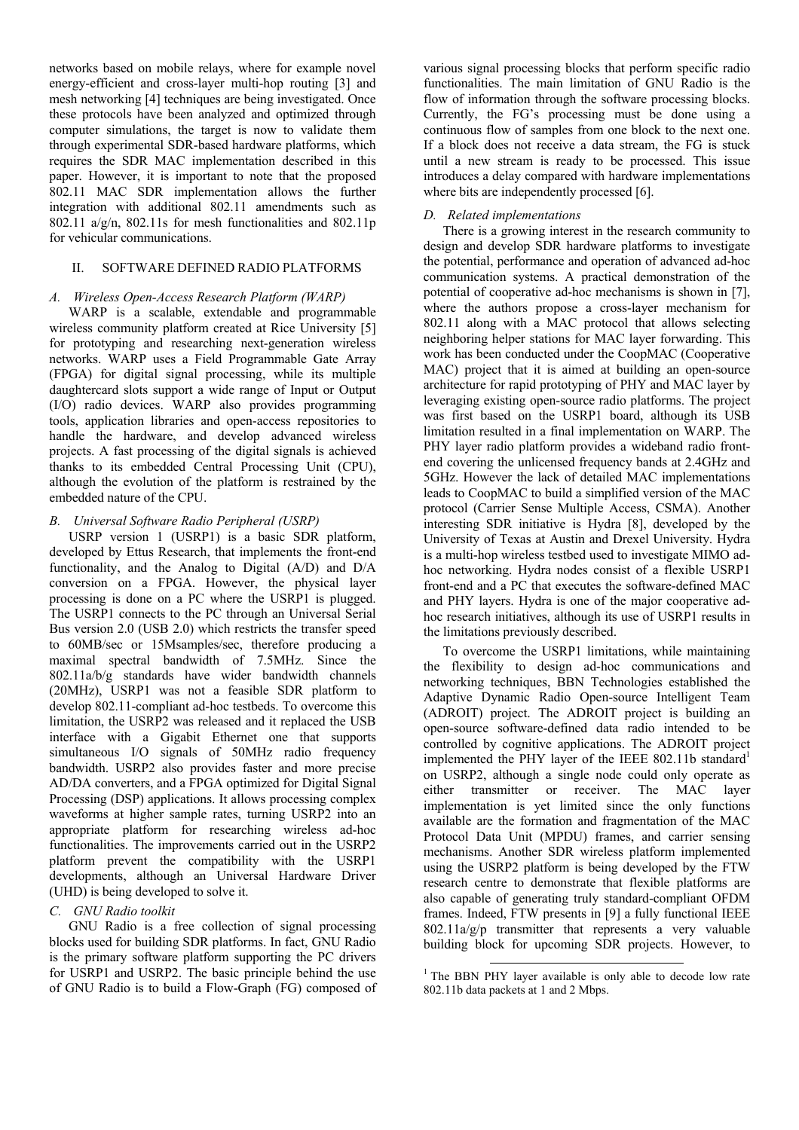networks based on mobile relays, where for example novel energy-efficient and cross-layer multi-hop routing [3] and mesh networking [4] techniques are being investigated. Once these protocols have been analyzed and optimized through computer simulations, the target is now to validate them through experimental SDR-based hardware platforms, which requires the SDR MAC implementation described in this paper. However, it is important to note that the proposed 802.11 MAC SDR implementation allows the further integration with additional 802.11 amendments such as 802.11  $a/g/n$ , 802.11s for mesh functionalities and 802.11p for vehicular communications.

# II. SOFTWARE DEFINED RADIO PLATFORMS

#### A. Wireless Open-Access Research Platform (WARP)

WARP is a scalable, extendable and programmable wireless community platform created at Rice University [5] for prototyping and researching next-generation wireless networks. WARP uses a Field Programmable Gate Array (FPGA) for digital signal processing, while its multiple daughtercard slots support a wide range of Input or Output (I/O) radio devices. WARP also provides programming tools, application libraries and open-access repositories to handle the hardware, and develop advanced wireless projects. A fast processing of the digital signals is achieved thanks to its embedded Central Processing Unit (CPU), although the evolution of the platform is restrained by the embedded nature of the CPU.

# B. Universal Software Radio Peripheral (USRP)

USRP version 1 (USRP1) is a basic SDR platform, developed by Ettus Research, that implements the front-end functionality, and the Analog to Digital (A/D) and D/A conversion on a FPGA. However, the physical layer processing is done on a PC where the USRP1 is plugged. The USRP1 connects to the PC through an Universal Serial Bus version 2.0 (USB 2.0) which restricts the transfer speed to 60MB/sec or 15Msamples/sec, therefore producing a maximal spectral bandwidth of 7.5MHz. Since the 802.11a/b/g standards have wider bandwidth channels (20MHz), USRP1 was not a feasible SDR platform to develop 802.11-compliant ad-hoc testbeds. To overcome this limitation, the USRP2 was released and it replaced the USB interface with a Gigabit Ethernet one that supports simultaneous I/O signals of 50MHz radio frequency bandwidth. USRP2 also provides faster and more precise AD/DA converters, and a FPGA optimized for Digital Signal Processing (DSP) applications. It allows processing complex waveforms at higher sample rates, turning USRP2 into an appropriate platform for researching wireless ad-hoc functionalities. The improvements carried out in the USRP2 platform prevent the compatibility with the USRP1 developments, although an Universal Hardware Driver (UHD) is being developed to solve it.

# C. GNU Radio toolkit

GNU Radio is a free collection of signal processing blocks used for building SDR platforms. In fact, GNU Radio is the primary software platform supporting the PC drivers for USRP1 and USRP2. The basic principle behind the use of GNU Radio is to build a Flow-Graph (FG) composed of various signal processing blocks that perform specific radio functionalities. The main limitation of GNU Radio is the flow of information through the software processing blocks. Currently, the FG's processing must be done using a continuous flow of samples from one block to the next one. If a block does not receive a data stream, the FG is stuck until a new stream is ready to be processed. This issue introduces a delay compared with hardware implementations where bits are independently processed [6].

# D. Related implementations

There is a growing interest in the research community to design and develop SDR hardware platforms to investigate the potential, performance and operation of advanced ad-hoc communication systems. A practical demonstration of the potential of cooperative ad-hoc mechanisms is shown in [7], where the authors propose a cross-layer mechanism for 802.11 along with a MAC protocol that allows selecting neighboring helper stations for MAC layer forwarding. This work has been conducted under the CoopMAC (Cooperative MAC) project that it is aimed at building an open-source architecture for rapid prototyping of PHY and MAC layer by leveraging existing open-source radio platforms. The project was first based on the USRP1 board, although its USB limitation resulted in a final implementation on WARP. The PHY layer radio platform provides a wideband radio frontend covering the unlicensed frequency bands at 2.4GHz and 5GHz. However the lack of detailed MAC implementations leads to CoopMAC to build a simplified version of the MAC protocol (Carrier Sense Multiple Access, CSMA). Another interesting SDR initiative is Hydra [8], developed by the University of Texas at Austin and Drexel University. Hydra is a multi-hop wireless testbed used to investigate MIMO adhoc networking. Hydra nodes consist of a flexible USRP1 front-end and a PC that executes the software-defined MAC and PHY layers. Hydra is one of the major cooperative adhoc research initiatives, although its use of USRP1 results in the limitations previously described.

To overcome the USRP1 limitations, while maintaining the flexibility to design ad-hoc communications and networking techniques, BBN Technologies established the Adaptive Dynamic Radio Open-source Intelligent Team (ADROIT) project. The ADROIT project is building an open-source software-defined data radio intended to be controlled by cognitive applications. The ADROIT project implemented the PHY layer of the IEEE 802.11b standard<sup>1</sup> on USRP2, although a single node could only operate as either transmitter or receiver. The MAC layer implementation is yet limited since the only functions available are the formation and fragmentation of the MAC Protocol Data Unit (MPDU) frames, and carrier sensing mechanisms. Another SDR wireless platform implemented using the USRP2 platform is being developed by the FTW research centre to demonstrate that flexible platforms are also capable of generating truly standard-compliant OFDM frames. Indeed, FTW presents in [9] a fully functional IEEE 802.11a/g/p transmitter that represents a very valuable building block for upcoming SDR projects. However, to

-

<sup>&</sup>lt;sup>1</sup> The BBN PHY layer available is only able to decode low rate 802.11b data packets at 1 and 2 Mbps.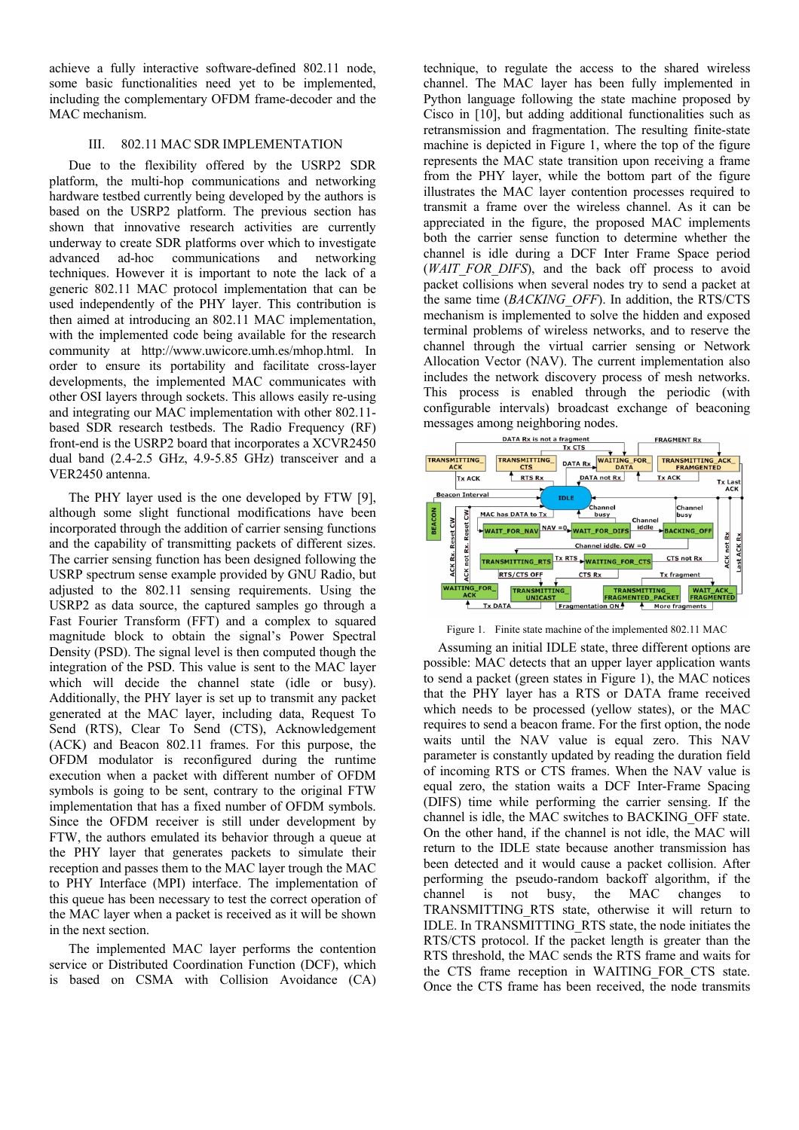achieve a fully interactive software-defined 802.11 node, some basic functionalities need yet to be implemented, including the complementary OFDM frame-decoder and the MAC mechanism.

# III. 802.11 MAC SDR IMPLEMENTATION

Due to the flexibility offered by the USRP2 SDR platform, the multi-hop communications and networking hardware testbed currently being developed by the authors is based on the USRP2 platform. The previous section has shown that innovative research activities are currently underway to create SDR platforms over which to investigate advanced ad-hoc communications and networking techniques. However it is important to note the lack of a generic 802.11 MAC protocol implementation that can be used independently of the PHY layer. This contribution is then aimed at introducing an 802.11 MAC implementation, with the implemented code being available for the research community at http://www.uwicore.umh.es/mhop.html. In order to ensure its portability and facilitate cross-layer developments, the implemented MAC communicates with other OSI layers through sockets. This allows easily re-using and integrating our MAC implementation with other 802.11 based SDR research testbeds. The Radio Frequency (RF) front-end is the USRP2 board that incorporates a XCVR2450 dual band (2.4-2.5 GHz, 4.9-5.85 GHz) transceiver and a VER2450 antenna.

The PHY layer used is the one developed by FTW [9], although some slight functional modifications have been incorporated through the addition of carrier sensing functions and the capability of transmitting packets of different sizes. The carrier sensing function has been designed following the USRP spectrum sense example provided by GNU Radio, but adjusted to the 802.11 sensing requirements. Using the USRP2 as data source, the captured samples go through a Fast Fourier Transform (FFT) and a complex to squared magnitude block to obtain the signal's Power Spectral Density (PSD). The signal level is then computed though the integration of the PSD. This value is sent to the MAC layer which will decide the channel state (idle or busy). Additionally, the PHY layer is set up to transmit any packet generated at the MAC layer, including data, Request To Send (RTS), Clear To Send (CTS), Acknowledgement (ACK) and Beacon 802.11 frames. For this purpose, the OFDM modulator is reconfigured during the runtime execution when a packet with different number of OFDM symbols is going to be sent, contrary to the original FTW implementation that has a fixed number of OFDM symbols. Since the OFDM receiver is still under development by FTW, the authors emulated its behavior through a queue at the PHY layer that generates packets to simulate their reception and passes them to the MAC layer trough the MAC to PHY Interface (MPI) interface. The implementation of this queue has been necessary to test the correct operation of the MAC layer when a packet is received as it will be shown in the next section.

The implemented MAC layer performs the contention service or Distributed Coordination Function (DCF), which is based on CSMA with Collision Avoidance (CA)

technique, to regulate the access to the shared wireless channel. The MAC layer has been fully implemented in Python language following the state machine proposed by Cisco in [10], but adding additional functionalities such as retransmission and fragmentation. The resulting finite-state machine is depicted in Figure 1, where the top of the figure represents the MAC state transition upon receiving a frame from the PHY layer, while the bottom part of the figure illustrates the MAC layer contention processes required to transmit a frame over the wireless channel. As it can be appreciated in the figure, the proposed MAC implements both the carrier sense function to determine whether the channel is idle during a DCF Inter Frame Space period (WAIT FOR DIFS), and the back off process to avoid packet collisions when several nodes try to send a packet at the same time (BACKING OFF). In addition, the RTS/CTS mechanism is implemented to solve the hidden and exposed terminal problems of wireless networks, and to reserve the channel through the virtual carrier sensing or Network Allocation Vector (NAV). The current implementation also includes the network discovery process of mesh networks. This process is enabled through the periodic (with configurable intervals) broadcast exchange of beaconing messages among neighboring nodes.



Figure 1. Finite state machine of the implemented 802.11 MAC

Assuming an initial IDLE state, three different options are possible: MAC detects that an upper layer application wants to send a packet (green states in Figure 1), the MAC notices that the PHY layer has a RTS or DATA frame received which needs to be processed (yellow states), or the MAC requires to send a beacon frame. For the first option, the node waits until the NAV value is equal zero. This NAV parameter is constantly updated by reading the duration field of incoming RTS or CTS frames. When the NAV value is equal zero, the station waits a DCF Inter-Frame Spacing (DIFS) time while performing the carrier sensing. If the channel is idle, the MAC switches to BACKING\_OFF state. On the other hand, if the channel is not idle, the MAC will return to the IDLE state because another transmission has been detected and it would cause a packet collision. After performing the pseudo-random backoff algorithm, if the channel is not busy, the MAC changes to TRANSMITTING\_RTS state, otherwise it will return to IDLE. In TRANSMITTING\_RTS state, the node initiates the RTS/CTS protocol. If the packet length is greater than the RTS threshold, the MAC sends the RTS frame and waits for the CTS frame reception in WAITING\_FOR\_CTS state. Once the CTS frame has been received, the node transmits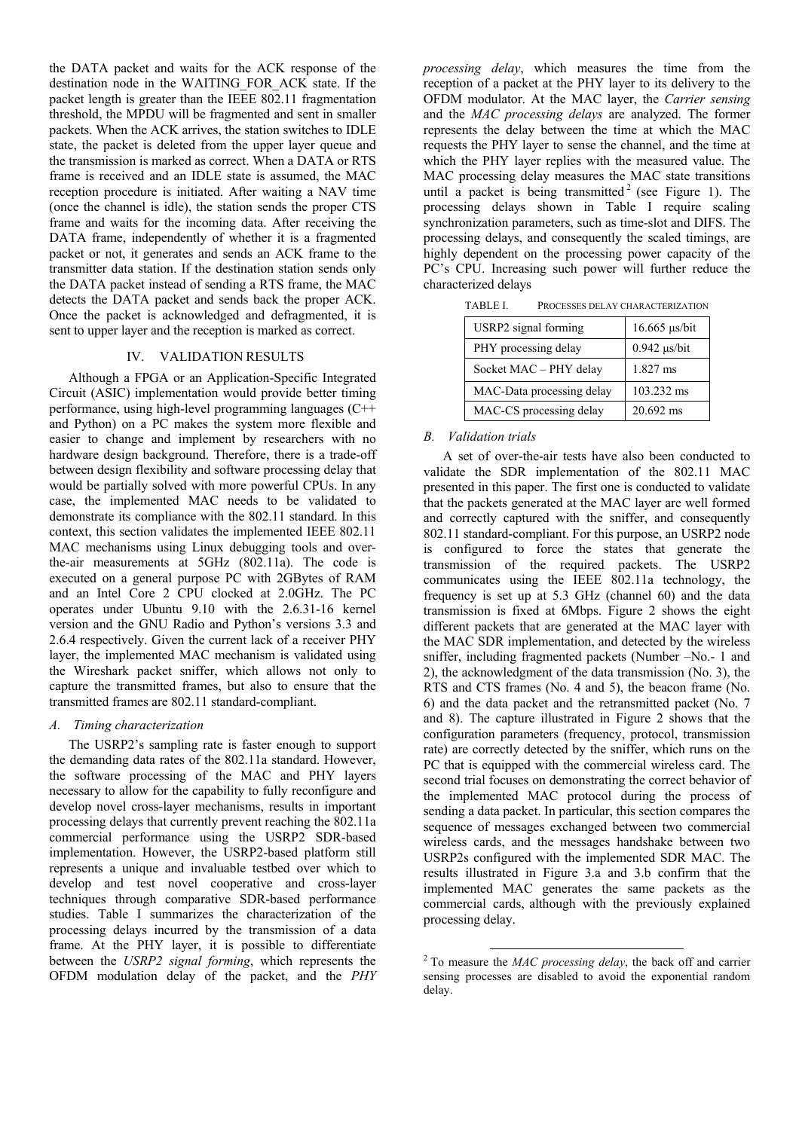the DATA packet and waits for the ACK response of the destination node in the WAITING\_FOR\_ACK state. If the packet length is greater than the IEEE 802.11 fragmentation threshold, the MPDU will be fragmented and sent in smaller packets. When the ACK arrives, the station switches to IDLE state, the packet is deleted from the upper layer queue and the transmission is marked as correct. When a DATA or RTS frame is received and an IDLE state is assumed, the MAC reception procedure is initiated. After waiting a NAV time (once the channel is idle), the station sends the proper CTS frame and waits for the incoming data. After receiving the DATA frame, independently of whether it is a fragmented packet or not, it generates and sends an ACK frame to the transmitter data station. If the destination station sends only the DATA packet instead of sending a RTS frame, the MAC detects the DATA packet and sends back the proper ACK. Once the packet is acknowledged and defragmented, it is sent to upper layer and the reception is marked as correct.

#### IV. VALIDATION RESULTS

Although a FPGA or an Application-Specific Integrated Circuit (ASIC) implementation would provide better timing performance, using high-level programming languages (C++ and Python) on a PC makes the system more flexible and easier to change and implement by researchers with no hardware design background. Therefore, there is a trade-off between design flexibility and software processing delay that would be partially solved with more powerful CPUs. In any case, the implemented MAC needs to be validated to demonstrate its compliance with the 802.11 standard. In this context, this section validates the implemented IEEE 802.11 MAC mechanisms using Linux debugging tools and overthe-air measurements at 5GHz (802.11a). The code is executed on a general purpose PC with 2GBytes of RAM and an Intel Core 2 CPU clocked at 2.0GHz. The PC operates under Ubuntu 9.10 with the 2.6.31-16 kernel version and the GNU Radio and Python's versions 3.3 and 2.6.4 respectively. Given the current lack of a receiver PHY layer, the implemented MAC mechanism is validated using the Wireshark packet sniffer, which allows not only to capture the transmitted frames, but also to ensure that the transmitted frames are 802.11 standard-compliant.

#### A. Timing characterization

The USRP2's sampling rate is faster enough to support the demanding data rates of the 802.11a standard. However, the software processing of the MAC and PHY layers necessary to allow for the capability to fully reconfigure and develop novel cross-layer mechanisms, results in important processing delays that currently prevent reaching the 802.11a commercial performance using the USRP2 SDR-based implementation. However, the USRP2-based platform still represents a unique and invaluable testbed over which to develop and test novel cooperative and cross-layer techniques through comparative SDR-based performance studies. Table I summarizes the characterization of the processing delays incurred by the transmission of a data frame. At the PHY layer, it is possible to differentiate between the USRP2 signal forming, which represents the OFDM modulation delay of the packet, and the PHY

processing delay, which measures the time from the reception of a packet at the PHY layer to its delivery to the OFDM modulator. At the MAC layer, the Carrier sensing and the MAC processing delays are analyzed. The former represents the delay between the time at which the MAC requests the PHY layer to sense the channel, and the time at which the PHY layer replies with the measured value. The MAC processing delay measures the MAC state transitions until a packet is being transmitted<sup>2</sup> (see Figure 1). The processing delays shown in Table I require scaling synchronization parameters, such as time-slot and DIFS. The processing delays, and consequently the scaled timings, are highly dependent on the processing power capacity of the PC's CPU. Increasing such power will further reduce the characterized delays

| USRP2 signal forming      | 16.665 µs/bit       |
|---------------------------|---------------------|
| PHY processing delay      | $0.942$ $\mu$ s/bit |
| Socket MAC - PHY delay    | 1.827 ms            |
| MAC-Data processing delay | 103.232 ms          |
| MAC-CS processing delay   | 20.692 ms           |

TABLE I. PROCESSES DELAY CHARACTERIZATION

# B. Validation trials

A set of over-the-air tests have also been conducted to validate the SDR implementation of the 802.11 MAC presented in this paper. The first one is conducted to validate that the packets generated at the MAC layer are well formed and correctly captured with the sniffer, and consequently 802.11 standard-compliant. For this purpose, an USRP2 node is configured to force the states that generate the transmission of the required packets. The USRP2 communicates using the IEEE 802.11a technology, the frequency is set up at 5.3 GHz (channel 60) and the data transmission is fixed at 6Mbps. Figure 2 shows the eight different packets that are generated at the MAC layer with the MAC SDR implementation, and detected by the wireless sniffer, including fragmented packets (Number –No.- 1 and 2), the acknowledgment of the data transmission (No. 3), the RTS and CTS frames (No. 4 and 5), the beacon frame (No. 6) and the data packet and the retransmitted packet (No. 7 and 8). The capture illustrated in Figure 2 shows that the configuration parameters (frequency, protocol, transmission rate) are correctly detected by the sniffer, which runs on the PC that is equipped with the commercial wireless card. The second trial focuses on demonstrating the correct behavior of the implemented MAC protocol during the process of sending a data packet. In particular, this section compares the sequence of messages exchanged between two commercial wireless cards, and the messages handshake between two USRP2s configured with the implemented SDR MAC. The results illustrated in Figure 3.a and 3.b confirm that the implemented MAC generates the same packets as the commercial cards, although with the previously explained processing delay.

<sup>&</sup>lt;sup>2</sup> To measure the *MAC processing delay*, the back off and carrier sensing processes are disabled to avoid the exponential random delay.